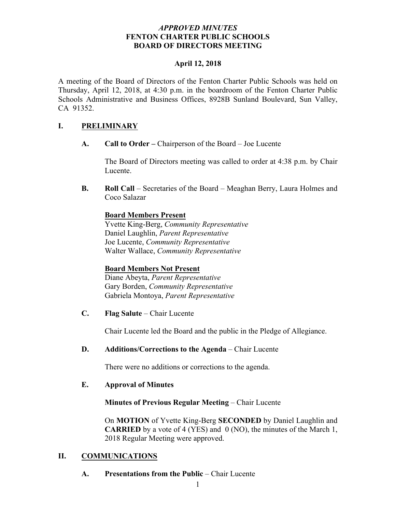### *APPROVED MINUTES*  **FENTON CHARTER PUBLIC SCHOOLS BOARD OF DIRECTORS MEETING**

#### **April 12, 2018**

A meeting of the Board of Directors of the Fenton Charter Public Schools was held on Thursday, April 12, 2018, at 4:30 p.m. in the boardroom of the Fenton Charter Public Schools Administrative and Business Offices, 8928B Sunland Boulevard, Sun Valley, CA 91352.

## **I. PRELIMINARY**

**A. Call to Order –** Chairperson of the Board – Joe Lucente

The Board of Directors meeting was called to order at 4:38 p.m. by Chair Lucente.

**B. Roll Call** – Secretaries of the Board – Meaghan Berry, Laura Holmes and Coco Salazar

## **Board Members Present**

Yvette King-Berg, *Community Representative* Daniel Laughlin, *Parent Representative* Joe Lucente, *Community Representative* Walter Wallace, *Community Representative*

## **Board Members Not Present**

Diane Abeyta, *Parent Representative* Gary Borden, *Community Representative* Gabriela Montoya, *Parent Representative*

**C. Flag Salute** – Chair Lucente

Chair Lucente led the Board and the public in the Pledge of Allegiance.

**D. Additions/Corrections to the Agenda** – Chair Lucente

There were no additions or corrections to the agenda.

## **E. Approval of Minutes**

## **Minutes of Previous Regular Meeting** – Chair Lucente

On **MOTION** of Yvette King-Berg **SECONDED** by Daniel Laughlin and **CARRIED** by a vote of 4 (YES) and 0 (NO), the minutes of the March 1, 2018 Regular Meeting were approved.

## **II. COMMUNICATIONS**

**A. Presentations from the Public** – Chair Lucente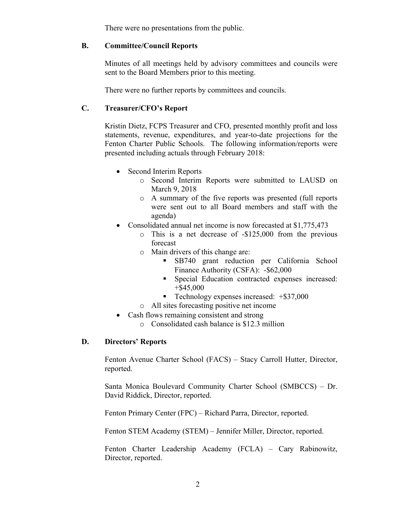There were no presentations from the public.

### **B. Committee/Council Reports**

Minutes of all meetings held by advisory committees and councils were sent to the Board Members prior to this meeting.

There were no further reports by committees and councils.

## **C. Treasurer/CFO's Report**

Kristin Dietz, FCPS Treasurer and CFO, presented monthly profit and loss statements, revenue, expenditures, and year-to-date projections for the Fenton Charter Public Schools. The following information/reports were presented including actuals through February 2018:

- Second Interim Reports
	- o Second Interim Reports were submitted to LAUSD on March 9, 2018
	- o A summary of the five reports was presented (full reports were sent out to all Board members and staff with the agenda)
- Consolidated annual net income is now forecasted at \$1,775,473
	- o This is a net decrease of -\$125,000 from the previous forecast
	- o Main drivers of this change are:
		- § SB740 grant reduction per California School Finance Authority (CSFA): -\$62,000
		- § Special Education contracted expenses increased: +\$45,000
		- Technology expenses increased:  $+$ \$37,000
	- o All sites forecasting positive net income
- Cash flows remaining consistent and strong
	- o Consolidated cash balance is \$12.3 million

## **D. Directors' Reports**

Fenton Avenue Charter School (FACS) – Stacy Carroll Hutter, Director, reported.

Santa Monica Boulevard Community Charter School (SMBCCS) – Dr. David Riddick, Director, reported.

Fenton Primary Center (FPC) – Richard Parra, Director, reported.

Fenton STEM Academy (STEM) – Jennifer Miller, Director, reported.

Fenton Charter Leadership Academy (FCLA) – Cary Rabinowitz, Director, reported.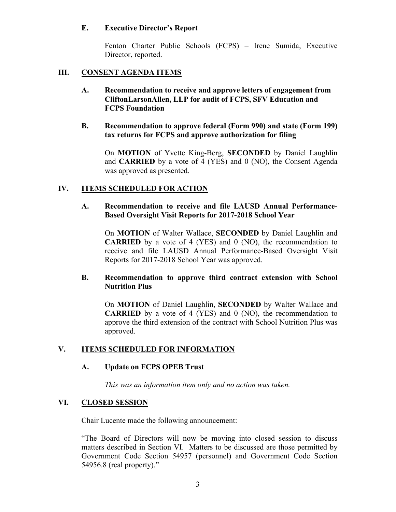### **E. Executive Director's Report**

Fenton Charter Public Schools (FCPS) – Irene Sumida, Executive Director, reported.

### **III. CONSENT AGENDA ITEMS**

**A. Recommendation to receive and approve letters of engagement from CliftonLarsonAllen, LLP for audit of FCPS, SFV Education and FCPS Foundation**

### **B. Recommendation to approve federal (Form 990) and state (Form 199) tax returns for FCPS and approve authorization for filing**

On **MOTION** of Yvette King-Berg, **SECONDED** by Daniel Laughlin and **CARRIED** by a vote of 4 (YES) and 0 (NO), the Consent Agenda was approved as presented.

## **IV. ITEMS SCHEDULED FOR ACTION**

#### **A. Recommendation to receive and file LAUSD Annual Performance-Based Oversight Visit Reports for 2017-2018 School Year**

On **MOTION** of Walter Wallace, **SECONDED** by Daniel Laughlin and **CARRIED** by a vote of 4 (YES) and 0 (NO), the recommendation to receive and file LAUSD Annual Performance-Based Oversight Visit Reports for 2017-2018 School Year was approved.

### **B. Recommendation to approve third contract extension with School Nutrition Plus**

On **MOTION** of Daniel Laughlin, **SECONDED** by Walter Wallace and **CARRIED** by a vote of 4 (YES) and 0 (NO), the recommendation to approve the third extension of the contract with School Nutrition Plus was approved.

## **V. ITEMS SCHEDULED FOR INFORMATION**

#### **A. Update on FCPS OPEB Trust**

*This was an information item only and no action was taken.*

#### **VI. CLOSED SESSION**

Chair Lucente made the following announcement:

"The Board of Directors will now be moving into closed session to discuss matters described in Section VI. Matters to be discussed are those permitted by Government Code Section 54957 (personnel) and Government Code Section 54956.8 (real property)."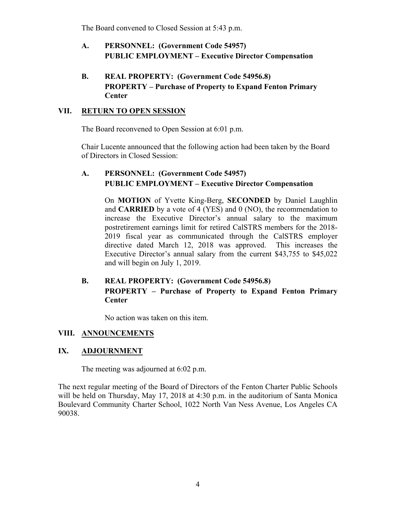The Board convened to Closed Session at 5:43 p.m.

- **A. PERSONNEL: (Government Code 54957) PUBLIC EMPLOYMENT – Executive Director Compensation**
- **B. REAL PROPERTY: (Government Code 54956.8) PROPERTY – Purchase of Property to Expand Fenton Primary Center**

## **VII. RETURN TO OPEN SESSION**

The Board reconvened to Open Session at 6:01 p.m.

Chair Lucente announced that the following action had been taken by the Board of Directors in Closed Session:

# **A. PERSONNEL: (Government Code 54957) PUBLIC EMPLOYMENT – Executive Director Compensation**

On **MOTION** of Yvette King-Berg, **SECONDED** by Daniel Laughlin and **CARRIED** by a vote of 4 (YES) and 0 (NO), the recommendation to increase the Executive Director's annual salary to the maximum postretirement earnings limit for retired CalSTRS members for the 2018- 2019 fiscal year as communicated through the CalSTRS employer directive dated March 12, 2018 was approved. This increases the Executive Director's annual salary from the current \$43,755 to \$45,022 and will begin on July 1, 2019.

# **B. REAL PROPERTY: (Government Code 54956.8) PROPERTY – Purchase of Property to Expand Fenton Primary Center**

No action was taken on this item.

## **VIII. ANNOUNCEMENTS**

## **IX. ADJOURNMENT**

The meeting was adjourned at 6:02 p.m.

The next regular meeting of the Board of Directors of the Fenton Charter Public Schools will be held on Thursday, May 17, 2018 at 4:30 p.m. in the auditorium of Santa Monica Boulevard Community Charter School, 1022 North Van Ness Avenue, Los Angeles CA 90038.